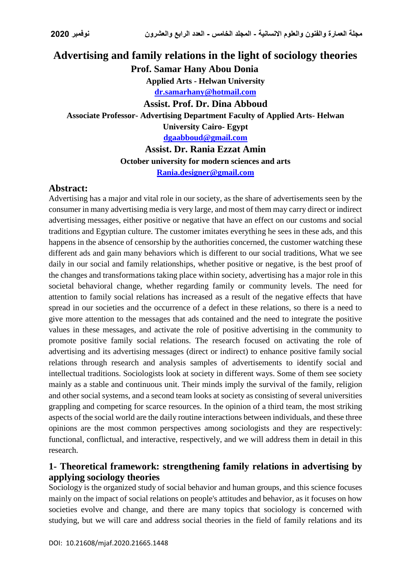# **Advertising and family relations in the light of sociology theories Prof. Samar Hany Abou Donia Applied Arts - Helwan University [dr.samarhany@hotmail.com](mailto:dr.samarhany@hotmail.com) Assist. Prof. Dr. Dina Abboud Associate Professor- Advertising Department Faculty of Applied Arts- Helwan University Cairo- Egypt [dgaabboud@gmail.com](mailto:dgaabboud@gmail.com) Assist. Dr. Rania Ezzat Amin**

**October university for modern sciences and arts [Rania.designer@gmail.com](mailto:Rania.designer@gmail.com)**

### **Abstract:**

Advertising has a major and vital role in our society, as the share of advertisements seen by the consumer in many advertising media is very large, and most of them may carry direct or indirect advertising messages, either positive or negative that have an effect on our customs and social traditions and Egyptian culture. The customer imitates everything he sees in these ads, and this happens in the absence of censorship by the authorities concerned, the customer watching these different ads and gain many behaviors which is different to our social traditions, What we see daily in our social and family relationships, whether positive or negative, is the best proof of the changes and transformations taking place within society, advertising has a major role in this societal behavioral change, whether regarding family or community levels. The need for attention to family social relations has increased as a result of the negative effects that have spread in our societies and the occurrence of a defect in these relations, so there is a need to give more attention to the messages that ads contained and the need to integrate the positive values in these messages, and activate the role of positive advertising in the community to promote positive family social relations. The research focused on activating the role of advertising and its advertising messages (direct or indirect) to enhance positive family social relations through research and analysis samples of advertisements to identify social and intellectual traditions. Sociologists look at society in different ways. Some of them see society mainly as a stable and continuous unit. Their minds imply the survival of the family, religion and other social systems, and a second team looks at society as consisting of several universities grappling and competing for scarce resources. In the opinion of a third team, the most striking aspects of the social world are the daily routine interactions between individuals, and these three opinions are the most common perspectives among sociologists and they are respectively: functional, conflictual, and interactive, respectively, and we will address them in detail in this research.

## **1- Theoretical framework: strengthening family relations in advertising by applying sociology theories**

Sociology is the organized study of social behavior and human groups, and this science focuses mainly on the impact of social relations on people's attitudes and behavior, as it focuses on how societies evolve and change, and there are many topics that sociology is concerned with studying, but we will care and address social theories in the field of family relations and its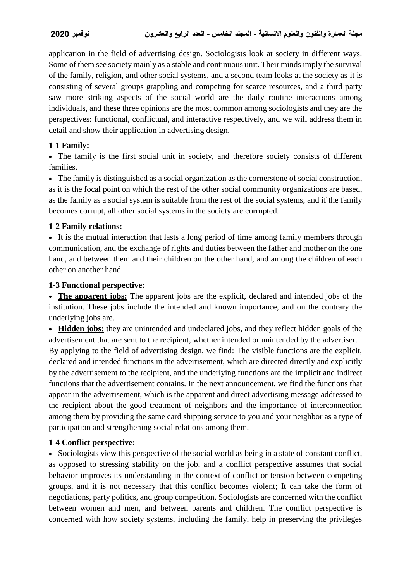application in the field of advertising design. Sociologists look at society in different ways. Some of them see society mainly as a stable and continuous unit. Their minds imply the survival of the family, religion, and other social systems, and a second team looks at the society as it is consisting of several groups grappling and competing for scarce resources, and a third party saw more striking aspects of the social world are the daily routine interactions among individuals, and these three opinions are the most common among sociologists and they are the perspectives: functional, conflictual, and interactive respectively, and we will address them in detail and show their application in advertising design.

### **1-1 Family:**

 The family is the first social unit in society, and therefore society consists of different families.

 The family is distinguished as a social organization as the cornerstone of social construction, as it is the focal point on which the rest of the other social community organizations are based, as the family as a social system is suitable from the rest of the social systems, and if the family becomes corrupt, all other social systems in the society are corrupted.

### **1-2 Family relations:**

 It is the mutual interaction that lasts a long period of time among family members through communication, and the exchange of rights and duties between the father and mother on the one hand, and between them and their children on the other hand, and among the children of each other on another hand.

### **1-3 Functional perspective:**

 **The apparent jobs:** The apparent jobs are the explicit, declared and intended jobs of the institution. These jobs include the intended and known importance, and on the contrary the underlying jobs are.

 **Hidden jobs:** they are unintended and undeclared jobs, and they reflect hidden goals of the advertisement that are sent to the recipient, whether intended or unintended by the advertiser.

By applying to the field of advertising design, we find: The visible functions are the explicit, declared and intended functions in the advertisement, which are directed directly and explicitly by the advertisement to the recipient, and the underlying functions are the implicit and indirect functions that the advertisement contains. In the next announcement, we find the functions that appear in the advertisement, which is the apparent and direct advertising message addressed to the recipient about the good treatment of neighbors and the importance of interconnection among them by providing the same card shipping service to you and your neighbor as a type of participation and strengthening social relations among them.

### **1-4 Conflict perspective:**

 Sociologists view this perspective of the social world as being in a state of constant conflict, as opposed to stressing stability on the job, and a conflict perspective assumes that social behavior improves its understanding in the context of conflict or tension between competing groups, and it is not necessary that this conflict becomes violent; It can take the form of negotiations, party politics, and group competition. Sociologists are concerned with the conflict between women and men, and between parents and children. The conflict perspective is concerned with how society systems, including the family, help in preserving the privileges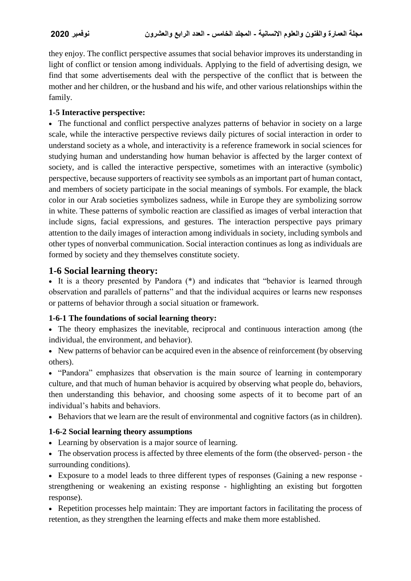they enjoy. The conflict perspective assumes that social behavior improves its understanding in light of conflict or tension among individuals. Applying to the field of advertising design, we find that some advertisements deal with the perspective of the conflict that is between the mother and her children, or the husband and his wife, and other various relationships within the family.

### **1-5 Interactive perspective:**

 The functional and conflict perspective analyzes patterns of behavior in society on a large scale, while the interactive perspective reviews daily pictures of social interaction in order to understand society as a whole, and interactivity is a reference framework in social sciences for studying human and understanding how human behavior is affected by the larger context of society, and is called the interactive perspective, sometimes with an interactive (symbolic) perspective, because supporters of reactivity see symbols as an important part of human contact, and members of society participate in the social meanings of symbols. For example, the black color in our Arab societies symbolizes sadness, while in Europe they are symbolizing sorrow in white. These patterns of symbolic reaction are classified as images of verbal interaction that include signs, facial expressions, and gestures. The interaction perspective pays primary attention to the daily images of interaction among individuals in society, including symbols and other types of nonverbal communication. Social interaction continues as long as individuals are formed by society and they themselves constitute society.

## **1-6 Social learning theory:**

 It is a theory presented by Pandora (\*) and indicates that "behavior is learned through observation and parallels of patterns" and that the individual acquires or learns new responses or patterns of behavior through a social situation or framework.

### **1-6-1 The foundations of social learning theory:**

- The theory emphasizes the inevitable, reciprocal and continuous interaction among (the individual, the environment, and behavior).
- New patterns of behavior can be acquired even in the absence of reinforcement (by observing others).

• "Pandora" emphasizes that observation is the main source of learning in contemporary culture, and that much of human behavior is acquired by observing what people do, behaviors, then understanding this behavior, and choosing some aspects of it to become part of an individual's habits and behaviors.

Behaviors that we learn are the result of environmental and cognitive factors (as in children).

## **1-6-2 Social learning theory assumptions**

- Learning by observation is a major source of learning.
- The observation process is affected by three elements of the form (the observed- person the surrounding conditions).

 Exposure to a model leads to three different types of responses (Gaining a new response strengthening or weakening an existing response - highlighting an existing but forgotten response).

• Repetition processes help maintain: They are important factors in facilitating the process of retention, as they strengthen the learning effects and make them more established.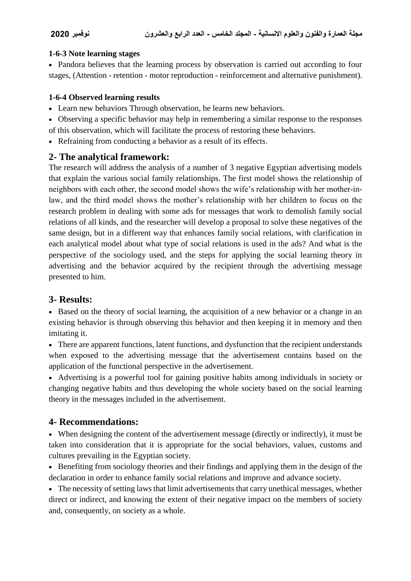#### **1-6-3 Note learning stages**

• Pandora believes that the learning process by observation is carried out according to four stages, (Attention - retention - motor reproduction - reinforcement and alternative punishment).

#### **1-6-4 Observed learning results**

- Learn new behaviors Through observation, he learns new behaviors.
- Observing a specific behavior may help in remembering a similar response to the responses of this observation, which will facilitate the process of restoring these behaviors.
- Refraining from conducting a behavior as a result of its effects.

## **2- The analytical framework:**

The research will address the analysis of a number of 3 negative Egyptian advertising models that explain the various social family relationships. The first model shows the relationship of neighbors with each other, the second model shows the wife's relationship with her mother-inlaw, and the third model shows the mother's relationship with her children to focus on the research problem in dealing with some ads for messages that work to demolish family social relations of all kinds, and the researcher will develop a proposal to solve these negatives of the same design, but in a different way that enhances family social relations, with clarification in each analytical model about what type of social relations is used in the ads? And what is the perspective of the sociology used, and the steps for applying the social learning theory in advertising and the behavior acquired by the recipient through the advertising message presented to him.

## **3- Results:**

 Based on the theory of social learning, the acquisition of a new behavior or a change in an existing behavior is through observing this behavior and then keeping it in memory and then imitating it.

• There are apparent functions, latent functions, and dysfunction that the recipient understands when exposed to the advertising message that the advertisement contains based on the application of the functional perspective in the advertisement.

 Advertising is a powerful tool for gaining positive habits among individuals in society or changing negative habits and thus developing the whole society based on the social learning theory in the messages included in the advertisement.

## **4- Recommendations:**

 When designing the content of the advertisement message (directly or indirectly), it must be taken into consideration that it is appropriate for the social behaviors, values, customs and cultures prevailing in the Egyptian society.

 Benefiting from sociology theories and their findings and applying them in the design of the declaration in order to enhance family social relations and improve and advance society.

• The necessity of setting laws that limit advertisements that carry unethical messages, whether direct or indirect, and knowing the extent of their negative impact on the members of society and, consequently, on society as a whole.